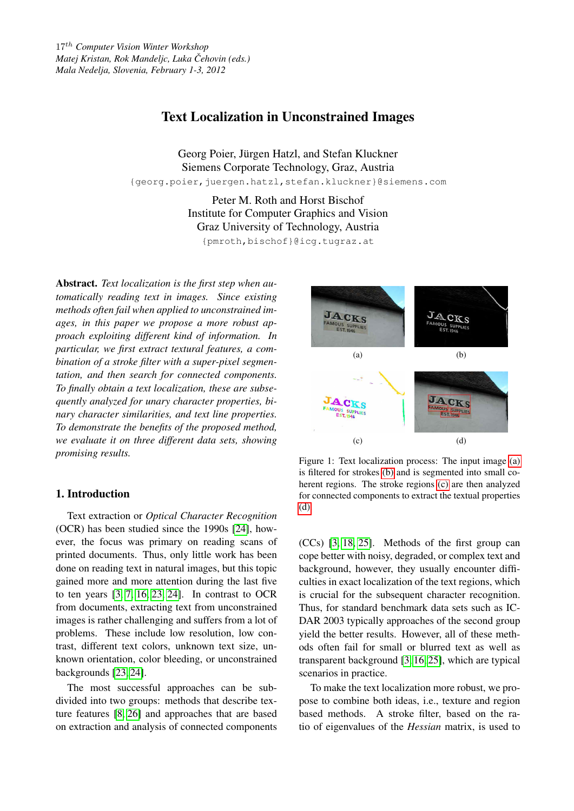# <span id="page-0-5"></span>Text Localization in Unconstrained Images

Georg Poier, Jürgen Hatzl, and Stefan Kluckner Siemens Corporate Technology, Graz, Austria {georg.poier,juergen.hatzl,stefan.kluckner}@siemens.com

> Peter M. Roth and Horst Bischof Institute for Computer Graphics and Vision Graz University of Technology, Austria

{pmroth,bischof}@icg.tugraz.at

Abstract. *Text localization is the first step when automatically reading text in images. Since existing methods often fail when applied to unconstrained images, in this paper we propose a more robust approach exploiting different kind of information. In particular, we first extract textural features, a combination of a stroke filter with a super-pixel segmentation, and then search for connected components. To finally obtain a text localization, these are subsequently analyzed for unary character properties, binary character similarities, and text line properties. To demonstrate the benefits of the proposed method, we evaluate it on three different data sets, showing promising results.*

# 1. Introduction

Text extraction or *Optical Character Recognition* (OCR) has been studied since the 1990s [\[24\]](#page-7-0), however, the focus was primary on reading scans of printed documents. Thus, only little work has been done on reading text in natural images, but this topic gained more and more attention during the last five to ten years  $[3, 7, 16, 23, 24]$  $[3, 7, 16, 23, 24]$  $[3, 7, 16, 23, 24]$  $[3, 7, 16, 23, 24]$  $[3, 7, 16, 23, 24]$ . In contrast to OCR from documents, extracting text from unconstrained images is rather challenging and suffers from a lot of problems. These include low resolution, low contrast, different text colors, unknown text size, unknown orientation, color bleeding, or unconstrained backgrounds [\[23,](#page-7-4) [24\]](#page-7-0).

The most successful approaches can be subdivided into two groups: methods that describe texture features [\[8,](#page-7-5) [26\]](#page-7-6) and approaches that are based on extraction and analysis of connected components

<span id="page-0-4"></span><span id="page-0-2"></span><span id="page-0-1"></span><span id="page-0-0"></span>

<span id="page-0-3"></span>Figure 1: Text localization process: The input image [\(a\)](#page-0-0) is filtered for strokes [\(b\)](#page-0-1) and is segmented into small coherent regions. The stroke regions [\(c\)](#page-0-2) are then analyzed for connected components to extract the textual properties [\(d\).](#page-0-3)

(CCs) [\[3,](#page-7-1) [18,](#page-7-7) [25\]](#page-7-8). Methods of the first group can cope better with noisy, degraded, or complex text and background, however, they usually encounter difficulties in exact localization of the text regions, which is crucial for the subsequent character recognition. Thus, for standard benchmark data sets such as IC-DAR 2003 typically approaches of the second group yield the better results. However, all of these methods often fail for small or blurred text as well as transparent background [\[3,](#page-7-1) [16,](#page-7-3) [25\]](#page-7-8), which are typical scenarios in practice.

To make the text localization more robust, we propose to combine both ideas, i.e., texture and region based methods. A stroke filter, based on the ratio of eigenvalues of the *Hessian* matrix, is used to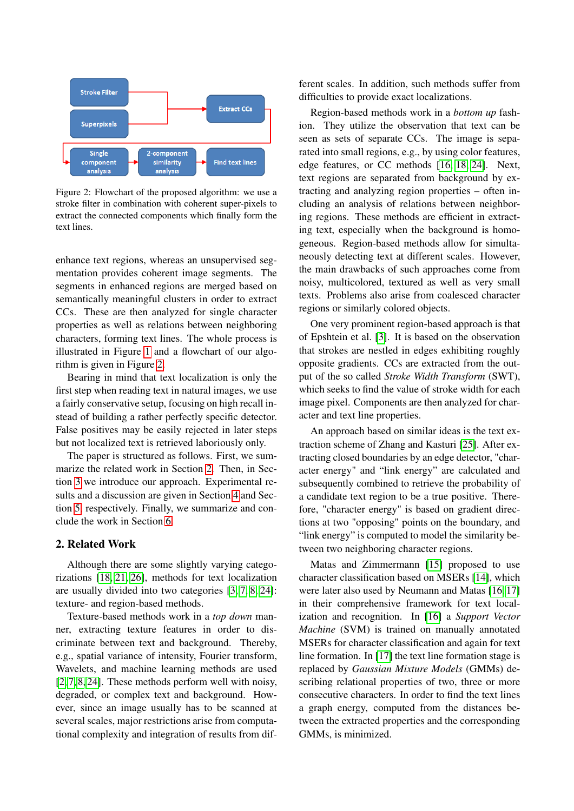<span id="page-1-2"></span><span id="page-1-0"></span>

Figure 2: Flowchart of the proposed algorithm: we use a stroke filter in combination with coherent super-pixels to extract the connected components which finally form the text lines.

enhance text regions, whereas an unsupervised segmentation provides coherent image segments. The segments in enhanced regions are merged based on semantically meaningful clusters in order to extract CCs. These are then analyzed for single character properties as well as relations between neighboring characters, forming text lines. The whole process is illustrated in Figure [1](#page-0-4) and a flowchart of our algorithm is given in Figure [2.](#page-1-0)

Bearing in mind that text localization is only the first step when reading text in natural images, we use a fairly conservative setup, focusing on high recall instead of building a rather perfectly specific detector. False positives may be easily rejected in later steps but not localized text is retrieved laboriously only.

The paper is structured as follows. First, we summarize the related work in Section [2.](#page-1-1) Then, in Section [3](#page-2-0) we introduce our approach. Experimental results and a discussion are given in Section [4](#page-4-0) and Section [5,](#page-5-0) respectively. Finally, we summarize and conclude the work in Section [6.](#page-5-1)

# <span id="page-1-1"></span>2. Related Work

Although there are some slightly varying categorizations [\[18,](#page-7-7) [21,](#page-7-9) [26\]](#page-7-6), methods for text localization are usually divided into two categories [\[3,](#page-7-1) [7,](#page-7-2) [8,](#page-7-5) [24\]](#page-7-0): texture- and region-based methods.

Texture-based methods work in a *top down* manner, extracting texture features in order to discriminate between text and background. Thereby, e.g., spatial variance of intensity, Fourier transform, Wavelets, and machine learning methods are used [\[2,](#page-7-10) [7,](#page-7-2) [8,](#page-7-5) [24\]](#page-7-0). These methods perform well with noisy, degraded, or complex text and background. However, since an image usually has to be scanned at several scales, major restrictions arise from computational complexity and integration of results from different scales. In addition, such methods suffer from difficulties to provide exact localizations.

Region-based methods work in a *bottom up* fashion. They utilize the observation that text can be seen as sets of separate CCs. The image is separated into small regions, e.g., by using color features, edge features, or CC methods [\[16,](#page-7-3) [18,](#page-7-7) [24\]](#page-7-0). Next, text regions are separated from background by extracting and analyzing region properties – often including an analysis of relations between neighboring regions. These methods are efficient in extracting text, especially when the background is homogeneous. Region-based methods allow for simultaneously detecting text at different scales. However, the main drawbacks of such approaches come from noisy, multicolored, textured as well as very small texts. Problems also arise from coalesced character regions or similarly colored objects.

One very prominent region-based approach is that of Epshtein et al. [\[3\]](#page-7-1). It is based on the observation that strokes are nestled in edges exhibiting roughly opposite gradients. CCs are extracted from the output of the so called *Stroke Width Transform* (SWT), which seeks to find the value of stroke width for each image pixel. Components are then analyzed for character and text line properties.

An approach based on similar ideas is the text extraction scheme of Zhang and Kasturi [\[25\]](#page-7-8). After extracting closed boundaries by an edge detector, "character energy" and "link energy" are calculated and subsequently combined to retrieve the probability of a candidate text region to be a true positive. Therefore, "character energy" is based on gradient directions at two "opposing" points on the boundary, and "link energy" is computed to model the similarity between two neighboring character regions.

Matas and Zimmermann [\[15\]](#page-7-11) proposed to use character classification based on MSERs [\[14\]](#page-7-12), which were later also used by Neumann and Matas [\[16,](#page-7-3) [17\]](#page-7-13) in their comprehensive framework for text localization and recognition. In [\[16\]](#page-7-3) a *Support Vector Machine* (SVM) is trained on manually annotated MSERs for character classification and again for text line formation. In [\[17\]](#page-7-13) the text line formation stage is replaced by *Gaussian Mixture Models* (GMMs) describing relational properties of two, three or more consecutive characters. In order to find the text lines a graph energy, computed from the distances between the extracted properties and the corresponding GMMs, is minimized.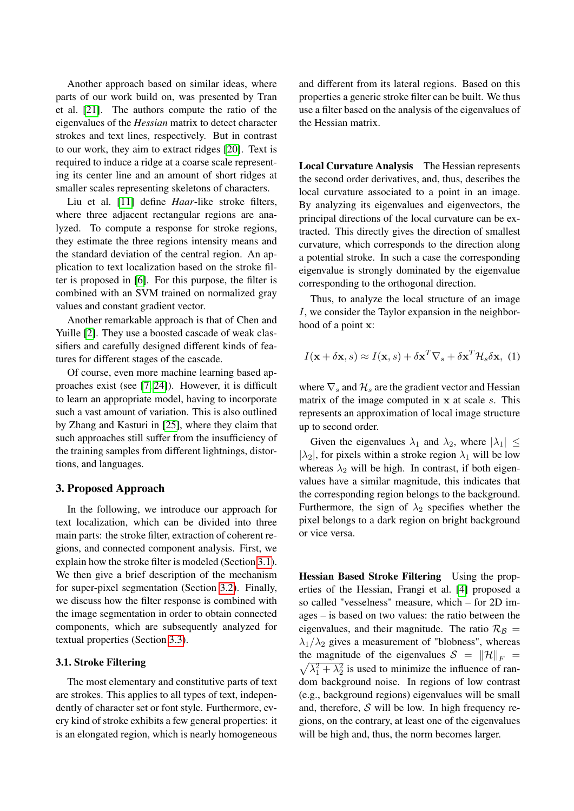<span id="page-2-2"></span>Another approach based on similar ideas, where parts of our work build on, was presented by Tran et al. [\[21\]](#page-7-9). The authors compute the ratio of the eigenvalues of the *Hessian* matrix to detect character strokes and text lines, respectively. But in contrast to our work, they aim to extract ridges [\[20\]](#page-7-14). Text is required to induce a ridge at a coarse scale representing its center line and an amount of short ridges at smaller scales representing skeletons of characters.

Liu et al. [\[11\]](#page-7-15) define *Haar*-like stroke filters, where three adjacent rectangular regions are analyzed. To compute a response for stroke regions, they estimate the three regions intensity means and the standard deviation of the central region. An application to text localization based on the stroke filter is proposed in [\[6\]](#page-7-16). For this purpose, the filter is combined with an SVM trained on normalized gray values and constant gradient vector.

Another remarkable approach is that of Chen and Yuille [\[2\]](#page-7-10). They use a boosted cascade of weak classifiers and carefully designed different kinds of features for different stages of the cascade.

Of course, even more machine learning based approaches exist (see [\[7,](#page-7-2) [24\]](#page-7-0)). However, it is difficult to learn an appropriate model, having to incorporate such a vast amount of variation. This is also outlined by Zhang and Kasturi in [\[25\]](#page-7-8), where they claim that such approaches still suffer from the insufficiency of the training samples from different lightnings, distortions, and languages.

#### <span id="page-2-0"></span>3. Proposed Approach

In the following, we introduce our approach for text localization, which can be divided into three main parts: the stroke filter, extraction of coherent regions, and connected component analysis. First, we explain how the stroke filter is modeled (Section [3.1\)](#page-2-1). We then give a brief description of the mechanism for super-pixel segmentation (Section [3.2\)](#page-3-0). Finally, we discuss how the filter response is combined with the image segmentation in order to obtain connected components, which are subsequently analyzed for textual properties (Section [3.3\)](#page-3-1).

# <span id="page-2-1"></span>3.1. Stroke Filtering

The most elementary and constitutive parts of text are strokes. This applies to all types of text, independently of character set or font style. Furthermore, every kind of stroke exhibits a few general properties: it is an elongated region, which is nearly homogeneous and different from its lateral regions. Based on this properties a generic stroke filter can be built. We thus use a filter based on the analysis of the eigenvalues of the Hessian matrix.

Local Curvature Analysis The Hessian represents the second order derivatives, and, thus, describes the local curvature associated to a point in an image. By analyzing its eigenvalues and eigenvectors, the principal directions of the local curvature can be extracted. This directly gives the direction of smallest curvature, which corresponds to the direction along a potential stroke. In such a case the corresponding eigenvalue is strongly dominated by the eigenvalue corresponding to the orthogonal direction.

Thus, to analyze the local structure of an image I, we consider the Taylor expansion in the neighborhood of a point x:

$$
I(\mathbf{x} + \delta \mathbf{x}, s) \approx I(\mathbf{x}, s) + \delta \mathbf{x}^T \nabla_s + \delta \mathbf{x}^T \mathcal{H}_s \delta \mathbf{x}, \tag{1}
$$

where  $\nabla_s$  and  $\mathcal{H}_s$  are the gradient vector and Hessian matrix of the image computed in  $x$  at scale  $s$ . This represents an approximation of local image structure up to second order.

Given the eigenvalues  $\lambda_1$  and  $\lambda_2$ , where  $|\lambda_1| \leq$  $|\lambda_2|$ , for pixels within a stroke region  $\lambda_1$  will be low whereas  $\lambda_2$  will be high. In contrast, if both eigenvalues have a similar magnitude, this indicates that the corresponding region belongs to the background. Furthermore, the sign of  $\lambda_2$  specifies whether the pixel belongs to a dark region on bright background or vice versa.

Hessian Based Stroke Filtering Using the properties of the Hessian, Frangi et al. [\[4\]](#page-7-17) proposed a so called "vesselness" measure, which – for 2D images – is based on two values: the ratio between the eigenvalues, and their magnitude. The ratio  $\mathcal{R}_B =$  $\lambda_1/\lambda_2$  gives a measurement of "blobness", whereas the magnitude of the eigenvalues  $S = ||\mathcal{H}||_F$  =  $\sqrt{\lambda_1^2 + \lambda_2^2}$  is used to minimize the influence of random background noise. In regions of low contrast (e.g., background regions) eigenvalues will be small and, therefore,  $S$  will be low. In high frequency regions, on the contrary, at least one of the eigenvalues will be high and, thus, the norm becomes larger.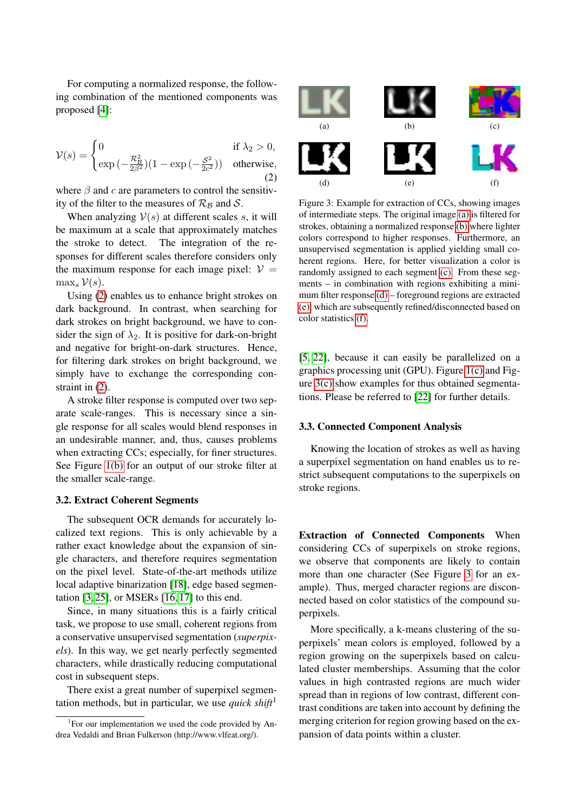<span id="page-3-10"></span>For computing a normalized response, the following combination of the mentioned components was proposed [\[4\]](#page-7-17):

<span id="page-3-2"></span>
$$
\mathcal{V}(s) = \begin{cases} 0 & \text{if } \lambda_2 > 0, \\ \exp\left(-\frac{\mathcal{R}_B^2}{2\beta^2}\right)(1 - \exp\left(-\frac{\mathcal{S}^2}{2c^2}\right)) & \text{otherwise,} \end{cases}
$$
 (2)

where  $\beta$  and c are parameters to control the sensitivity of the filter to the measures of  $\mathcal{R}_\mathcal{B}$  and S.

When analyzing  $V(s)$  at different scales s, it will be maximum at a scale that approximately matches the stroke to detect. The integration of the responses for different scales therefore considers only the maximum response for each image pixel:  $V =$  $\max_{s}$   $V(s)$ .

Using [\(2\)](#page-3-2) enables us to enhance bright strokes on dark background. In contrast, when searching for dark strokes on bright background, we have to consider the sign of  $\lambda_2$ . It is positive for dark-on-bright and negative for bright-on-dark structures. Hence, for filtering dark strokes on bright background, we simply have to exchange the corresponding constraint in [\(2\)](#page-3-2).

A stroke filter response is computed over two separate scale-ranges. This is necessary since a single response for all scales would blend responses in an undesirable manner, and, thus, causes problems when extracting CCs; especially, for finer structures. See Figure [1\(b\)](#page-0-1) for an output of our stroke filter at the smaller scale-range.

#### <span id="page-3-0"></span>3.2. Extract Coherent Segments

The subsequent OCR demands for accurately localized text regions. This is only achievable by a rather exact knowledge about the expansion of single characters, and therefore requires segmentation on the pixel level. State-of-the-art methods utilize local adaptive binarization [\[18\]](#page-7-7), edge based segmentation [\[3,](#page-7-1) [25\]](#page-7-8), or MSERs [\[16,](#page-7-3) [17\]](#page-7-13) to this end.

Since, in many situations this is a fairly critical task, we propose to use small, coherent regions from a conservative unsupervised segmentation (*superpixels*). In this way, we get nearly perfectly segmented characters, while drastically reducing computational cost in subsequent steps.

There exist a great number of superpixel segmentation methods, but in particular, we use *quick shift*<sup>1</sup>

<span id="page-3-9"></span><span id="page-3-6"></span><span id="page-3-5"></span><span id="page-3-4"></span><span id="page-3-3"></span>

<span id="page-3-8"></span><span id="page-3-7"></span>Figure 3: Example for extraction of CCs, showing images of intermediate steps. The original image [\(a\)](#page-3-3) is filtered for strokes, obtaining a normalized response [\(b\)](#page-3-4) where lighter colors correspond to higher responses. Furthermore, an unsupervised segmentation is applied yielding small coherent regions. Here, for better visualization a color is randomly assigned to each segment [\(c\).](#page-3-5) From these segments – in combination with regions exhibiting a minimum filter response [\(d\)](#page-3-6) – foreground regions are extracted [\(e\),](#page-3-7) which are subsequently refined/disconnected based on color statistics [\(f\).](#page-3-8)

[\[5,](#page-7-18) [22\]](#page-7-19), because it can easily be parallelized on a graphics processing unit (GPU). Figure [1\(c\)](#page-0-2) and Figure [3\(c\)](#page-3-5) show examples for thus obtained segmentations. Please be referred to [\[22\]](#page-7-19) for further details.

#### <span id="page-3-1"></span>3.3. Connected Component Analysis

Knowing the location of strokes as well as having a superpixel segmentation on hand enables us to restrict subsequent computations to the superpixels on stroke regions.

Extraction of Connected Components When considering CCs of superpixels on stroke regions, we observe that components are likely to contain more than one character (See Figure [3](#page-3-9) for an example). Thus, merged character regions are disconnected based on color statistics of the compound superpixels.

More specifically, a k-means clustering of the superpixels' mean colors is employed, followed by a region growing on the superpixels based on calculated cluster memberships. Assuming that the color values in high contrasted regions are much wider spread than in regions of low contrast, different contrast conditions are taken into account by defining the merging criterion for region growing based on the expansion of data points within a cluster.

<sup>&</sup>lt;sup>1</sup>For our implementation we used the code provided by Andrea Vedaldi and Brian Fulkerson (http://www.vlfeat.org/).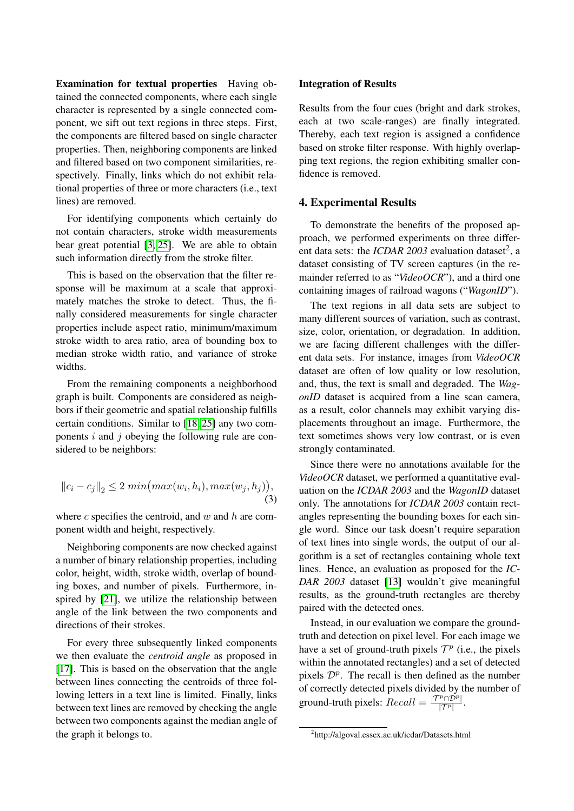<span id="page-4-1"></span>Examination for textual properties Having obtained the connected components, where each single character is represented by a single connected component, we sift out text regions in three steps. First, the components are filtered based on single character properties. Then, neighboring components are linked and filtered based on two component similarities, respectively. Finally, links which do not exhibit relational properties of three or more characters (i.e., text lines) are removed.

For identifying components which certainly do not contain characters, stroke width measurements bear great potential [\[3,](#page-7-1) [25\]](#page-7-8). We are able to obtain such information directly from the stroke filter.

This is based on the observation that the filter response will be maximum at a scale that approximately matches the stroke to detect. Thus, the finally considered measurements for single character properties include aspect ratio, minimum/maximum stroke width to area ratio, area of bounding box to median stroke width ratio, and variance of stroke widths.

From the remaining components a neighborhood graph is built. Components are considered as neighbors if their geometric and spatial relationship fulfills certain conditions. Similar to [\[18,](#page-7-7) [25\]](#page-7-8) any two components  $i$  and  $j$  obeying the following rule are considered to be neighbors:

$$
||c_i - c_j||_2 \le 2 \min\bigl(max(w_i, h_i), max(w_j, h_j)\bigr),\tag{3}
$$

where  $c$  specifies the centroid, and  $w$  and  $h$  are component width and height, respectively.

Neighboring components are now checked against a number of binary relationship properties, including color, height, width, stroke width, overlap of bounding boxes, and number of pixels. Furthermore, inspired by [\[21\]](#page-7-9), we utilize the relationship between angle of the link between the two components and directions of their strokes.

For every three subsequently linked components we then evaluate the *centroid angle* as proposed in [\[17\]](#page-7-13). This is based on the observation that the angle between lines connecting the centroids of three following letters in a text line is limited. Finally, links between text lines are removed by checking the angle between two components against the median angle of the graph it belongs to.

### Integration of Results

Results from the four cues (bright and dark strokes, each at two scale-ranges) are finally integrated. Thereby, each text region is assigned a confidence based on stroke filter response. With highly overlapping text regions, the region exhibiting smaller confidence is removed.

### <span id="page-4-0"></span>4. Experimental Results

To demonstrate the benefits of the proposed approach, we performed experiments on three different data sets: the *ICDAR 2003* evaluation dataset<sup>2</sup>, a dataset consisting of TV screen captures (in the remainder referred to as "*VideoOCR*"), and a third one containing images of railroad wagons ("*WagonID*").

The text regions in all data sets are subject to many different sources of variation, such as contrast, size, color, orientation, or degradation. In addition, we are facing different challenges with the different data sets. For instance, images from *VideoOCR* dataset are often of low quality or low resolution, and, thus, the text is small and degraded. The *WagonID* dataset is acquired from a line scan camera, as a result, color channels may exhibit varying displacements throughout an image. Furthermore, the text sometimes shows very low contrast, or is even strongly contaminated.

Since there were no annotations available for the *VideoOCR* dataset, we performed a quantitative evaluation on the *ICDAR 2003* and the *WagonID* dataset only. The annotations for *ICDAR 2003* contain rectangles representing the bounding boxes for each single word. Since our task doesn't require separation of text lines into single words, the output of our algorithm is a set of rectangles containing whole text lines. Hence, an evaluation as proposed for the *IC-DAR 2003* dataset [\[13\]](#page-7-20) wouldn't give meaningful results, as the ground-truth rectangles are thereby paired with the detected ones.

Instead, in our evaluation we compare the groundtruth and detection on pixel level. For each image we have a set of ground-truth pixels  $\mathcal{T}^p$  (i.e., the pixels within the annotated rectangles) and a set of detected pixels  $\mathcal{D}^p$ . The recall is then defined as the number of correctly detected pixels divided by the number of ground-truth pixels:  $Recall = \frac{|T^p \cap D^p|}{|T^p|}$  $\frac{r + |\mathcal{D}^x|}{|\mathcal{T}^p|}.$ 

<sup>2</sup> http://algoval.essex.ac.uk/icdar/Datasets.html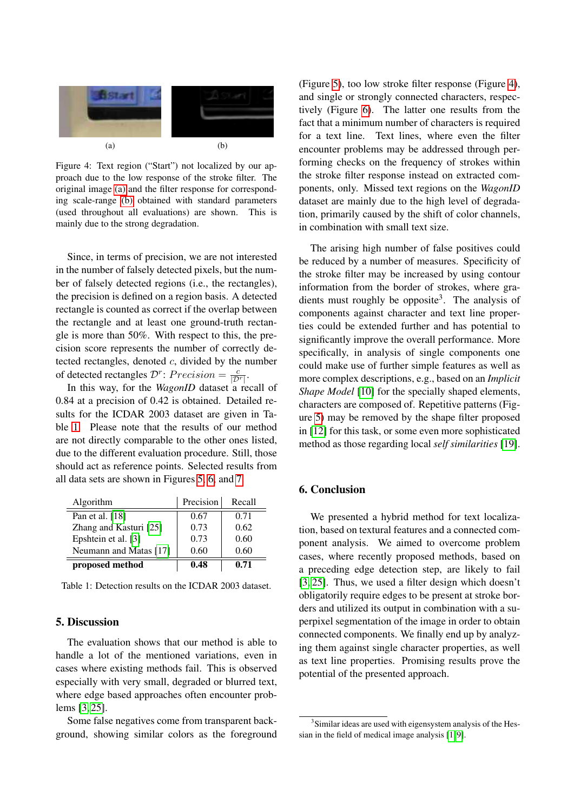<span id="page-5-6"></span><span id="page-5-5"></span><span id="page-5-2"></span>

<span id="page-5-3"></span>Figure 4: Text region ("Start") not localized by our approach due to the low response of the stroke filter. The original image [\(a\)](#page-5-2) and the filter response for corresponding scale-range [\(b\)](#page-5-3) obtained with standard parameters (used throughout all evaluations) are shown. This is mainly due to the strong degradation.

Since, in terms of precision, we are not interested in the number of falsely detected pixels, but the number of falsely detected regions (i.e., the rectangles), the precision is defined on a region basis. A detected rectangle is counted as correct if the overlap between the rectangle and at least one ground-truth rectangle is more than 50%. With respect to this, the precision score represents the number of correctly detected rectangles, denoted  $c$ , divided by the number of detected rectangles  $\mathcal{D}^r$ :  $Precision = \frac{c}{|\mathcal{D}^r|}$ .

In this way, for the *WagonID* dataset a recall of 0.84 at a precision of 0.42 is obtained. Detailed results for the ICDAR 2003 dataset are given in Table [1.](#page-5-4) Please note that the results of our method are not directly comparable to the other ones listed, due to the different evaluation procedure. Still, those should act as reference points. Selected results from all data sets are shown in Figures [5,](#page-6-0) [6,](#page-6-1) and [7.](#page-6-2)

<span id="page-5-4"></span>

| Algorithm              | Precision | Recall |
|------------------------|-----------|--------|
| Pan et al. [18]        | 0.67      | 0.71   |
| Zhang and Kasturi [25] | 0.73      | 0.62   |
| Epshtein et al. [3]    | 0.73      | 0.60   |
| Neumann and Matas [17] | 0.60      | 0.60   |
| proposed method        | 0.48      | 0.71   |

Table 1: Detection results on the ICDAR 2003 dataset.

### <span id="page-5-0"></span>5. Discussion

The evaluation shows that our method is able to handle a lot of the mentioned variations, even in cases where existing methods fail. This is observed especially with very small, degraded or blurred text, where edge based approaches often encounter problems [\[3,](#page-7-1) [25\]](#page-7-8).

Some false negatives come from transparent background, showing similar colors as the foreground (Figure [5\)](#page-6-0), too low stroke filter response (Figure [4\)](#page-5-5), and single or strongly connected characters, respectively (Figure [6\)](#page-6-1). The latter one results from the fact that a minimum number of characters is required for a text line. Text lines, where even the filter encounter problems may be addressed through performing checks on the frequency of strokes within the stroke filter response instead on extracted components, only. Missed text regions on the *WagonID* dataset are mainly due to the high level of degradation, primarily caused by the shift of color channels, in combination with small text size.

The arising high number of false positives could be reduced by a number of measures. Specificity of the stroke filter may be increased by using contour information from the border of strokes, where gradients must roughly be opposite<sup>3</sup>. The analysis of components against character and text line properties could be extended further and has potential to significantly improve the overall performance. More specifically, in analysis of single components one could make use of further simple features as well as more complex descriptions, e.g., based on an *Implicit Shape Model* [\[10\]](#page-7-21) for the specially shaped elements, characters are composed of. Repetitive patterns (Figure [5\)](#page-6-0) may be removed by the shape filter proposed in [\[12\]](#page-7-22) for this task, or some even more sophisticated method as those regarding local *self similarities* [\[19\]](#page-7-23).

# <span id="page-5-1"></span>6. Conclusion

We presented a hybrid method for text localization, based on textural features and a connected component analysis. We aimed to overcome problem cases, where recently proposed methods, based on a preceding edge detection step, are likely to fail [\[3,](#page-7-1) [25\]](#page-7-8). Thus, we used a filter design which doesn't obligatorily require edges to be present at stroke borders and utilized its output in combination with a superpixel segmentation of the image in order to obtain connected components. We finally end up by analyzing them against single character properties, as well as text line properties. Promising results prove the potential of the presented approach.

<sup>&</sup>lt;sup>3</sup>Similar ideas are used with eigensystem analysis of the Hessian in the field of medical image analysis [\[1,](#page-7-24) [9\]](#page-7-25).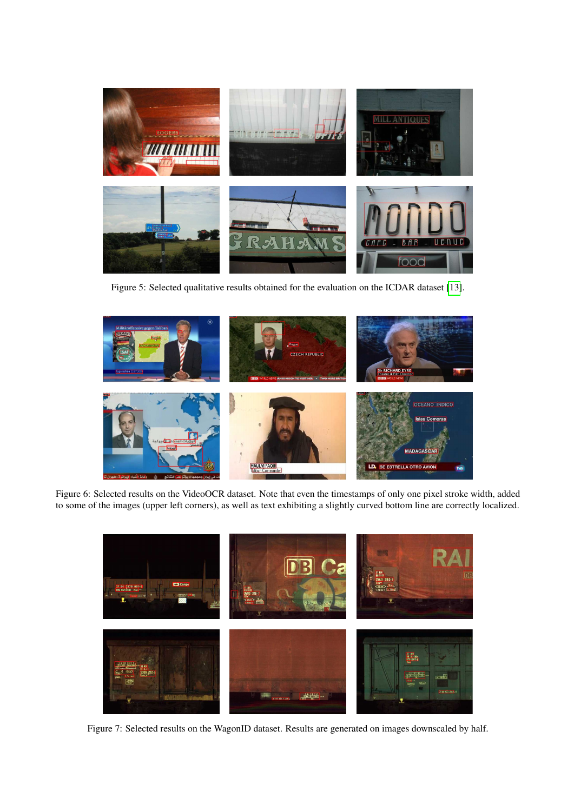<span id="page-6-3"></span><span id="page-6-0"></span>

Figure 5: Selected qualitative results obtained for the evaluation on the ICDAR dataset [\[13\]](#page-7-20).

<span id="page-6-1"></span>

<span id="page-6-2"></span>Figure 6: Selected results on the VideoOCR dataset. Note that even the timestamps of only one pixel stroke width, added to some of the images (upper left corners), as well as text exhibiting a slightly curved bottom line are correctly localized.



Figure 7: Selected results on the WagonID dataset. Results are generated on images downscaled by half.